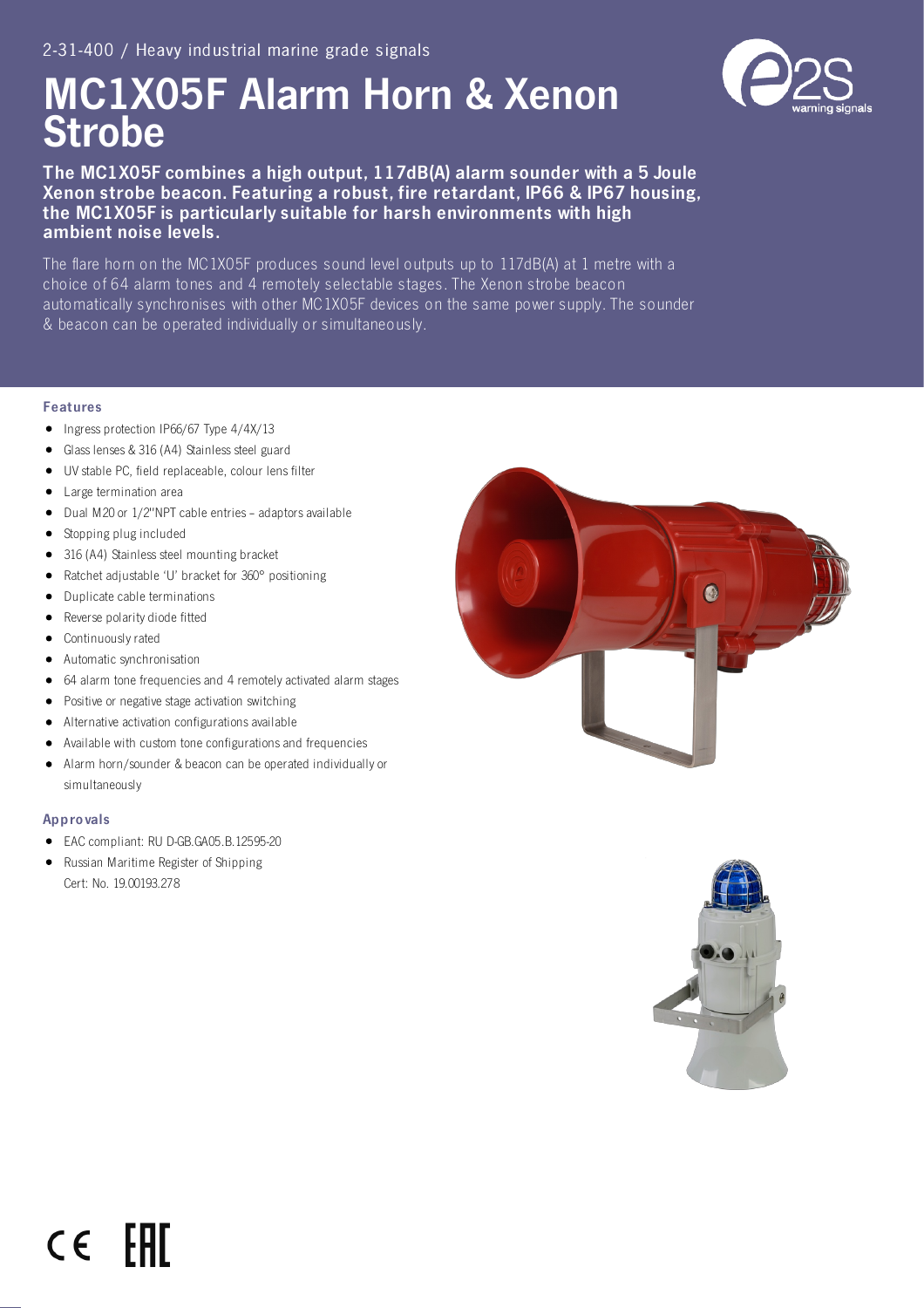# MC1X05F Alarm Horn & Xenon **Strobe**



The MC1X05F combines a high output, 117dB(A) alarm sounder with a 5 Joule Xenon strobe beacon. Featuring a robust, fire retardant, IP66 & IP67 housing, the MC1X05F is particularly suitable for harsh environments with high ambient noise levels.

The flare horn on the MC1X05F produces sound level outputs up to 117dB(A) at 1 metre with a choice of 64 alarm tones and 4 remotely selectable stages. The Xenon strobe beacon automatically synchronises with other MC1X05F devices on the same power supply. The sounder & beacon can be operated individually or simultaneously.

### Features

- Ingress protection IP66/67 Type 4/4X/13
- Glass lenses & 316 (A4) Stainless steel guard
- UV stable PC, field replaceable, colour lens filter
- $\bullet$ Large termination area
- Dual M20 or 1/2"NPT cable entries adaptors available  $\bullet$
- Stopping plug included
- 316 (A4) Stainless steel mounting bracket
- Ratchet adjustable 'U' bracket for 360° positioning
- $\bullet$ Duplicate cable terminations
- $\bullet$ Reverse polarity diode fitted
- Continuously rated
- Automatic synchronisation
- 64 alarm tone frequencies and 4 remotely activated alarm stages
- $\bullet$ Positive or negative stage activation switching
- Alternative activation configurations available  $\bullet$
- Available with custom tone configurations and frequencies
- Alarm horn/sounder & beacon can be operated individually or  $\bullet$ simultaneously

#### Appro vals

- $\bullet$ EAC compliant: RU D-GB.GA05.B.12595-20
- $\bullet$ Russian Maritime Register of Shipping Cert: No. 19.00193.278





## FAT  $\epsilon$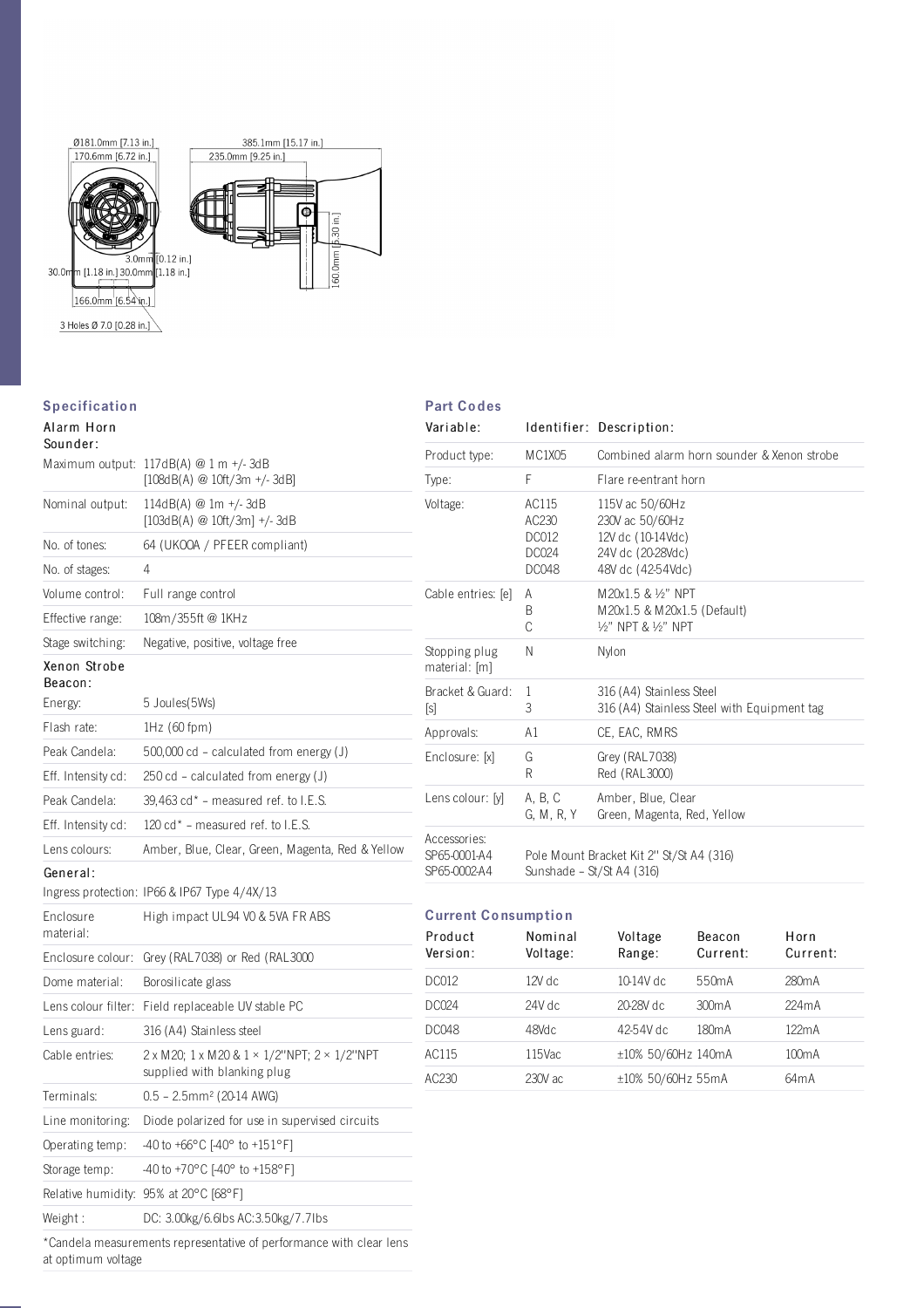

## **Specification**

## Alarm Horn

| Sounder: |  |
|----------|--|
|          |  |

| ouunuer.                |                                                                                                   |
|-------------------------|---------------------------------------------------------------------------------------------------|
|                         | Maximum output: 117dB(A) @ 1 m +/-3dB<br>$[108dB(A) \t@ 10ft/3m +/- 3dB]$                         |
| Nominal output:         | 114dB(A) @ 1m +/-3dB<br>$[103dB(A) \t@ 10ft/3m] +/- 3dB$                                          |
| No. of tones:           | 64 (UKOOA / PFEER compliant)                                                                      |
| No. of stages:          | 4                                                                                                 |
| Volume control:         | Full range control                                                                                |
| Effective range:        | 108m/355ft @ 1KHz                                                                                 |
| Stage switching:        | Negative, positive, voltage free                                                                  |
| Xenon Strobe<br>Beacon: |                                                                                                   |
| Energy:                 | 5 Joules (5Ws)                                                                                    |
| Flash rate:             | $1Hz(60$ fpm $)$                                                                                  |
| Peak Candela:           | $500,000$ cd - calculated from energy (J)                                                         |
| Eff. Intensity cd:      | $250 \text{ cd}$ – calculated from energy (J)                                                     |
| Peak Candela:           | $39,463$ cd* – measured ref. to I.E.S.                                                            |
| Eff. Intensity cd:      | 120 cd* - measured ref. to I.E.S.                                                                 |
| Lens colours:           | Amber, Blue, Clear, Green, Magenta, Red & Yellow                                                  |
| General:                | Ingress protection: IP66 & IP67 Type 4/4X/13                                                      |
| Enclosure<br>material:  | High impact UL94 V0 & 5VA FR ABS                                                                  |
| Enclosure colour:       | Grey (RAL7038) or Red (RAL3000                                                                    |
| Dome material:          | Borosilicate glass                                                                                |
| Lens colour filter:     | Field replaceable UV stable PC                                                                    |
| Lens guard:             | 316 (A4) Stainless steel                                                                          |
| Cable entries:          | $2 \times M20$ ; 1 x M 20 & 1 $\times$ 1/2"NPT; 2 $\times$ 1/2"NPT<br>supplied with blanking plug |
| Terminals:              | $0.5 - 2.5$ mm <sup>2</sup> (20-14 AWG)                                                           |
| Line monitoring:        | Diode polarized for use in supervised circuits                                                    |
| Operating temp:         | -40 to +66 $^{\circ}$ C [-40 $^{\circ}$ to +151 $^{\circ}$ F]                                     |
| Storage temp:           | -40 to +70°C [-40° to +158°F]                                                                     |
|                         | Relative humidity: 95% at 20°C [68°F]                                                             |
| Weight:                 | DC: 3.00kg/6.6lbs AC:3.50kg/7.7lbs                                                                |
|                         | *Candela measurements representative of performance with clear lens                               |

## Part Co des

| Variable:                                    |                                                                       | Identifier: Description:                                                                                   |  |  |  |
|----------------------------------------------|-----------------------------------------------------------------------|------------------------------------------------------------------------------------------------------------|--|--|--|
| Product type:                                | MC1X05                                                                | Combined alarm horn sounder & Xenon strobe                                                                 |  |  |  |
| Type:                                        | F                                                                     | Flare re-entrant horn                                                                                      |  |  |  |
| Voltage:                                     | AC115<br>AC230<br><b>DC012</b><br>DC024<br><b>DC048</b>               | 115V ac 50/60Hz<br>230V ac 50/60Hz<br>12V dc (10-14Vdc)<br>24V dc (20-28Vdc)<br>48V dc (42-54Vdc)          |  |  |  |
| Cable entries: [e]                           | A<br>B<br>C                                                           | $M$ $20x1.5$ & $1/2$ " NPT<br>M20x1.5 & M20x1.5 (Default)<br>1/ <sub>2</sub> " NPT & 1/ <sub>2</sub> " NPT |  |  |  |
| Stopping plug<br>material: [m]               | N                                                                     | Nylon                                                                                                      |  |  |  |
| Bracket & Guard:<br>[s]                      | 1<br>3                                                                | 316 (A4) Stainless Steel<br>316 (A4) Stainless Steel with Equipment tag                                    |  |  |  |
| Approvals:                                   | A1                                                                    | CE, EAC, RMRS                                                                                              |  |  |  |
| Enclosure: [x]                               | G<br>R                                                                | Grey (RAL7038)<br>Red (RAL3000)                                                                            |  |  |  |
| Lens colour: [y]                             | A, B, C<br>G. M. R. Y                                                 | Amber, Blue, Clear<br>Green, Magenta, Red, Yellow                                                          |  |  |  |
| Accessories:<br>SP65-0001-A4<br>SP65-0002-A4 | Pole Mount Bracket Kit 2" St/St A4 (316)<br>Sunshade - St/St A4 (316) |                                                                                                            |  |  |  |

## Current Co nsumptio n

| Product<br>Version: | Nominal<br>Voltage: | Voltage<br>Range:  | <b>Beacon</b><br>Current: | Horn<br>Current:   |
|---------------------|---------------------|--------------------|---------------------------|--------------------|
| DC012               | 12V dc              | 10-14V dc          | 550 <sub>m</sub> A        | 280mA              |
| DC024               | 24V dc              | 20-28V dc          | 300 <sub>m</sub> A        | 224mA              |
| DC048               | 48Vdc               | 42-54V dc          | 180 <sub>m</sub> A        | 122mA              |
| AC115               | 115Vac              | ±10% 50/60Hz 140mA |                           | 100 <sub>m</sub> A |
| AC230               | 230V ac             | ±10% 50/60Hz 55mA  |                           | 64 <sub>m</sub> A  |

\*Candela measurements representative of performance with clear lens at optimum voltage